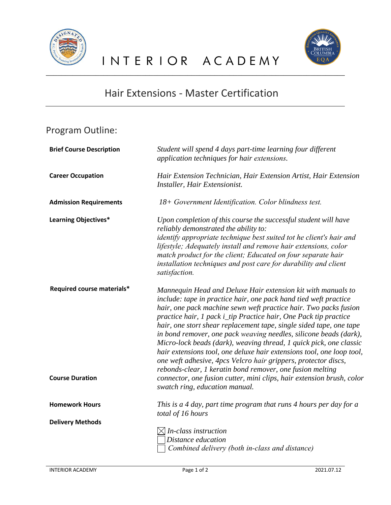



## Hair Extensions - Master Certification

## Program Outline:

| <b>Brief Course Description</b>                      | Student will spend 4 days part-time learning four different<br>application techniques for hair extensions.                                                                                                                                                                                                                                                                                                                                                                                                                                                                                                                                                                                                                                                                                                    |
|------------------------------------------------------|---------------------------------------------------------------------------------------------------------------------------------------------------------------------------------------------------------------------------------------------------------------------------------------------------------------------------------------------------------------------------------------------------------------------------------------------------------------------------------------------------------------------------------------------------------------------------------------------------------------------------------------------------------------------------------------------------------------------------------------------------------------------------------------------------------------|
| <b>Career Occupation</b>                             | Hair Extension Technician, Hair Extension Artist, Hair Extension<br>Installer, Hair Extensionist.                                                                                                                                                                                                                                                                                                                                                                                                                                                                                                                                                                                                                                                                                                             |
| <b>Admission Requirements</b>                        | 18+ Government Identification. Color blindness test.                                                                                                                                                                                                                                                                                                                                                                                                                                                                                                                                                                                                                                                                                                                                                          |
| Learning Objectives*                                 | Upon completion of this course the successful student will have<br>reliably demonstrated the ability to:<br>identify appropriate technique best suited tot he client's hair and<br>lifestyle; Adequately install and remove hair extensions, color<br>match product for the client; Educated on four separate hair<br>installation techniques and post care for durability and client<br>satisfaction.                                                                                                                                                                                                                                                                                                                                                                                                        |
| Required course materials*<br><b>Course Duration</b> | Mannequin Head and Deluxe Hair extension kit with manuals to<br>include: tape in practice hair, one pack hand tied weft practice<br>hair, one pack machine sewn weft practice hair. Two packs fusion<br>practice hair, 1 pack i_tip Practice hair, One Pack tip practice<br>hair, one stort shear replacement tape, single sided tape, one tape<br>in bond remover, one pack weaving needles, silicone beads (dark),<br>Micro-lock beads (dark), weaving thread, 1 quick pick, one classic<br>hair extensions tool, one deluxe hair extensions tool, one loop tool,<br>one weft adhesive, 4pcs Velcro hair grippers, protector discs,<br>rebonds-clear, 1 keratin bond remover, one fusion melting<br>connector, one fusion cutter, mini clips, hair extension brush, color<br>swatch ring, education manual. |
| <b>Homework Hours</b>                                | This is a 4 day, part time program that runs 4 hours per day for a                                                                                                                                                                                                                                                                                                                                                                                                                                                                                                                                                                                                                                                                                                                                            |
|                                                      | total of 16 hours                                                                                                                                                                                                                                                                                                                                                                                                                                                                                                                                                                                                                                                                                                                                                                                             |
| <b>Delivery Methods</b>                              |                                                                                                                                                                                                                                                                                                                                                                                                                                                                                                                                                                                                                                                                                                                                                                                                               |
|                                                      | $\boxtimes$ In-class instruction                                                                                                                                                                                                                                                                                                                                                                                                                                                                                                                                                                                                                                                                                                                                                                              |
|                                                      | Distance education                                                                                                                                                                                                                                                                                                                                                                                                                                                                                                                                                                                                                                                                                                                                                                                            |
|                                                      | Combined delivery (both in-class and distance)                                                                                                                                                                                                                                                                                                                                                                                                                                                                                                                                                                                                                                                                                                                                                                |